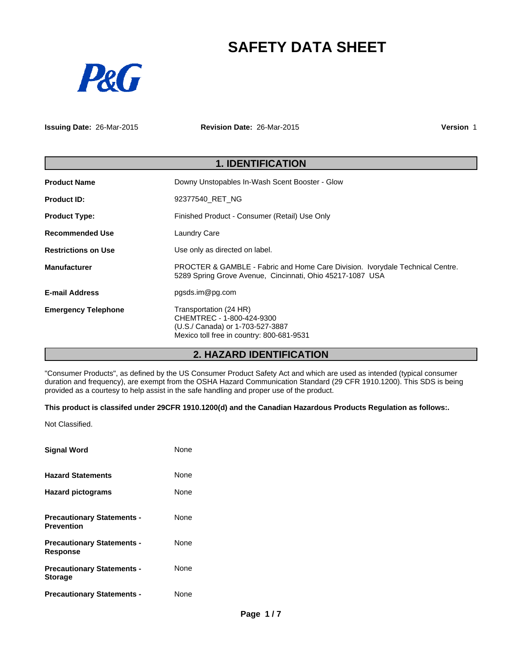## **SAFETY DATA SHEET**



**Issuing Date:** 26-Mar-2015

**Revision Date:** 26-Mar-2015

**Version** 1

| <b>1. IDENTIFICATION</b>   |                                                                                                                                                       |  |
|----------------------------|-------------------------------------------------------------------------------------------------------------------------------------------------------|--|
| <b>Product Name</b>        | Downy Unstopables In-Wash Scent Booster - Glow                                                                                                        |  |
| <b>Product ID:</b>         | 92377540 RET NG                                                                                                                                       |  |
| <b>Product Type:</b>       | Finished Product - Consumer (Retail) Use Only                                                                                                         |  |
| Recommended Use            | <b>Laundry Care</b>                                                                                                                                   |  |
| <b>Restrictions on Use</b> | Use only as directed on label.                                                                                                                        |  |
| <b>Manufacturer</b>        | <b>PROCTER &amp; GAMBLE - Fabric and Home Care Division. Ivorydale Technical Centre.</b><br>5289 Spring Grove Avenue, Cincinnati, Ohio 45217-1087 USA |  |
| <b>E-mail Address</b>      | pgsds.im@pg.com                                                                                                                                       |  |
| <b>Emergency Telephone</b> | Transportation (24 HR)<br>CHEMTREC - 1-800-424-9300<br>(U.S./ Canada) or 1-703-527-3887<br>Mexico toll free in country: 800-681-9531                  |  |

## **2. HAZARD IDENTIFICATION**

"Consumer Products", as defined by the US Consumer Product Safety Act and which are used as intended (typical consumer duration and frequency), are exempt from the OSHA Hazard Communication Standard (29 CFR 1910.1200). This SDS is being provided as a courtesy to help assist in the safe handling and proper use of the product.

## **This product is classifed under 29CFR 1910.1200(d) and the Canadian Hazardous Products Regulation as follows:.**

Not Classified.

| <b>Signal Word</b>                                     | None |
|--------------------------------------------------------|------|
| <b>Hazard Statements</b>                               | None |
| <b>Hazard pictograms</b>                               | None |
| <b>Precautionary Statements -</b><br><b>Prevention</b> | None |
| <b>Precautionary Statements -</b><br><b>Response</b>   | None |
| <b>Precautionary Statements -</b><br><b>Storage</b>    | None |
| <b>Precautionary Statements -</b>                      | None |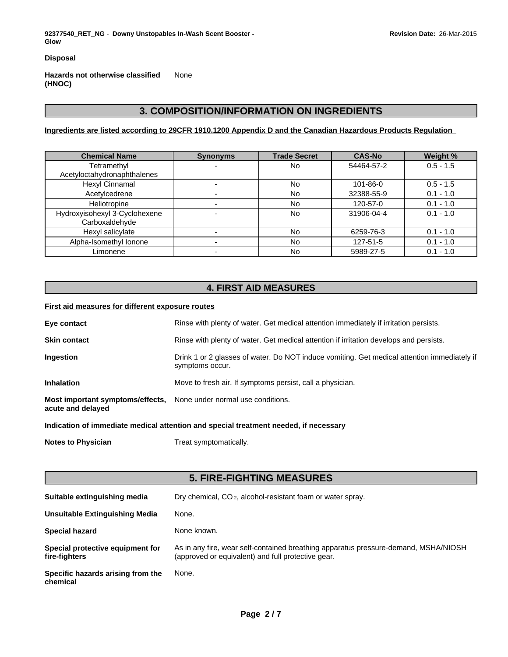**92377540\_RET\_NG** - **Downy Unstopables In-Wash Scent Booster - Glow**

**Disposal**

**Hazards not otherwise classified (HNOC)** None

## **3. COMPOSITION/INFORMATION ON INGREDIENTS**

**Ingredients are listed according to 29CFR 1910.1200 Appendix D and the Canadian Hazardous Products Regulation** 

| <b>Chemical Name</b>          | <b>Synonyms</b> | <b>Trade Secret</b> | <b>CAS-No</b> | Weight %    |
|-------------------------------|-----------------|---------------------|---------------|-------------|
| Tetramethyl                   |                 | No                  | 54464-57-2    | $0.5 - 1.5$ |
| Acetyloctahydronaphthalenes   |                 |                     |               |             |
| Hexyl Cinnamal                |                 | No                  | 101-86-0      | $0.5 - 1.5$ |
| Acetylcedrene                 |                 | No                  | 32388-55-9    | $0.1 - 1.0$ |
| Heliotropine                  |                 | No                  | 120-57-0      | $0.1 - 1.0$ |
| Hydroxyisohexyl 3-Cyclohexene |                 | <b>No</b>           | 31906-04-4    | $0.1 - 1.0$ |
| Carboxaldehyde                |                 |                     |               |             |
| Hexyl salicylate              |                 | <b>No</b>           | 6259-76-3     | $0.1 - 1.0$ |
| Alpha-Isomethyl Ionone        |                 | <b>No</b>           | 127-51-5      | $0.1 - 1.0$ |
| Limonene                      |                 | No                  | 5989-27-5     | $0.1 - 1.0$ |

## **4. FIRST AID MEASURES**

## **First aid measures for different exposure routes**

| Eye contact                                           | Rinse with plenty of water. Get medical attention immediately if irritation persists.                          |
|-------------------------------------------------------|----------------------------------------------------------------------------------------------------------------|
| <b>Skin contact</b>                                   | Rinse with plenty of water. Get medical attention if irritation develops and persists.                         |
| Ingestion                                             | Drink 1 or 2 glasses of water. Do NOT induce vomiting. Get medical attention immediately if<br>symptoms occur. |
| <b>Inhalation</b>                                     | Move to fresh air. If symptoms persist, call a physician.                                                      |
| Most important symptoms/effects,<br>acute and delayed | None under normal use conditions.                                                                              |

**Indication of immediate medical attention and special treatment needed, if necessary**

**Notes to Physician** Treat symptomatically.

## **5. FIRE-FIGHTING MEASURES**

| Suitable extinguishing media                      | Dry chemical, CO <sub>2</sub> , alcohol-resistant foam or water spray.                                                                    |
|---------------------------------------------------|-------------------------------------------------------------------------------------------------------------------------------------------|
| <b>Unsuitable Extinguishing Media</b>             | None.                                                                                                                                     |
| <b>Special hazard</b>                             | None known.                                                                                                                               |
| Special protective equipment for<br>fire-fighters | As in any fire, wear self-contained breathing apparatus pressure-demand, MSHA/NIOSH<br>(approved or equivalent) and full protective gear. |
| Specific hazards arising from the<br>chemical     | None.                                                                                                                                     |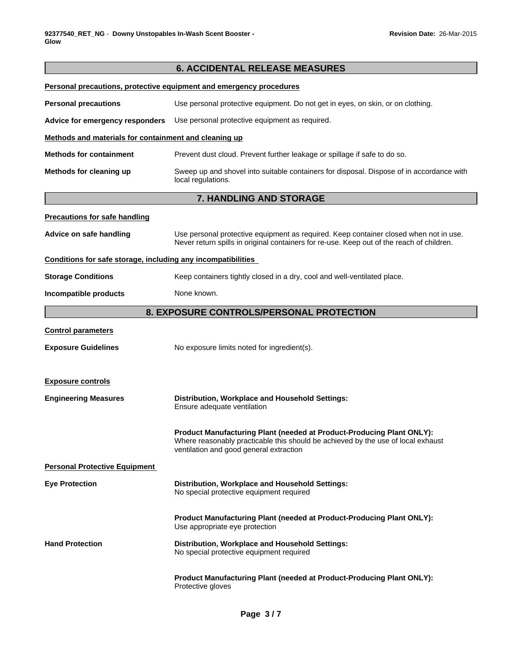|                                                              | <b>6. ACCIDENTAL RELEASE MEASURES</b>                                                                                                                                                                |
|--------------------------------------------------------------|------------------------------------------------------------------------------------------------------------------------------------------------------------------------------------------------------|
|                                                              | Personal precautions, protective equipment and emergency procedures                                                                                                                                  |
| <b>Personal precautions</b>                                  | Use personal protective equipment. Do not get in eyes, on skin, or on clothing.                                                                                                                      |
| Advice for emergency responders                              | Use personal protective equipment as required.                                                                                                                                                       |
| Methods and materials for containment and cleaning up        |                                                                                                                                                                                                      |
| <b>Methods for containment</b>                               | Prevent dust cloud. Prevent further leakage or spillage if safe to do so.                                                                                                                            |
| Methods for cleaning up                                      | Sweep up and shovel into suitable containers for disposal. Dispose of in accordance with<br>local regulations.                                                                                       |
|                                                              | 7. HANDLING AND STORAGE                                                                                                                                                                              |
| <b>Precautions for safe handling</b>                         |                                                                                                                                                                                                      |
| Advice on safe handling                                      | Use personal protective equipment as required. Keep container closed when not in use.<br>Never return spills in original containers for re-use. Keep out of the reach of children.                   |
| Conditions for safe storage, including any incompatibilities |                                                                                                                                                                                                      |
| <b>Storage Conditions</b>                                    | Keep containers tightly closed in a dry, cool and well-ventilated place.                                                                                                                             |
| Incompatible products                                        | None known.                                                                                                                                                                                          |
|                                                              | 8. EXPOSURE CONTROLS/PERSONAL PROTECTION                                                                                                                                                             |
| <b>Control parameters</b>                                    |                                                                                                                                                                                                      |
| <b>Exposure Guidelines</b>                                   | No exposure limits noted for ingredient(s).                                                                                                                                                          |
| <b>Exposure controls</b>                                     |                                                                                                                                                                                                      |
| <b>Engineering Measures</b>                                  | Distribution, Workplace and Household Settings:<br>Ensure adequate ventilation                                                                                                                       |
|                                                              | Product Manufacturing Plant (needed at Product-Producing Plant ONLY):<br>Where reasonably practicable this should be achieved by the use of local exhaust<br>ventilation and good general extraction |
| <b>Personal Protective Equipment</b>                         |                                                                                                                                                                                                      |
| <b>Eye Protection</b>                                        | Distribution, Workplace and Household Settings:<br>No special protective equipment required                                                                                                          |
|                                                              | Product Manufacturing Plant (needed at Product-Producing Plant ONLY):<br>Use appropriate eye protection                                                                                              |
| <b>Hand Protection</b>                                       | Distribution, Workplace and Household Settings:<br>No special protective equipment required                                                                                                          |
|                                                              | Product Manufacturing Plant (needed at Product-Producing Plant ONLY):<br>Protective gloves                                                                                                           |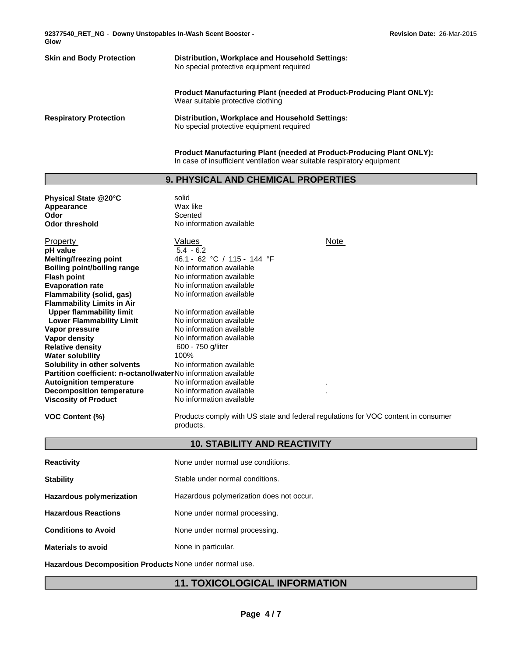**92377540\_RET\_NG** - **Downy Unstopables In-Wash Scent Booster - Glow**

# **Skin and Body Protection Distribution, Workplace and Household Settings:** No special protective equipment required

**Product Manufacturing Plant (needed at Product-Producing Plant ONLY):** Wear suitable protective clothing

**Respiratory Protection Distribution, Workplace and Household Settings:** No special protective equipment required

> **Product Manufacturing Plant (needed at Product-Producing Plant ONLY):** In case of insufficient ventilation wear suitable respiratory equipment

## **9. PHYSICAL AND CHEMICAL PROPERTIES**

| Physical State @20°C                                                  | solid                       |      |
|-----------------------------------------------------------------------|-----------------------------|------|
| Appearance                                                            | Wax like                    |      |
| Odor                                                                  | Scented                     |      |
| <b>Odor threshold</b>                                                 | No information available    |      |
| Property                                                              | Values                      | Note |
| pH value                                                              | $5.4 - 6.2$                 |      |
| <b>Melting/freezing point</b>                                         | 46.1 - 62 °C / 115 - 144 °F |      |
| <b>Boiling point/boiling range</b>                                    | No information available    |      |
| <b>Flash point</b>                                                    | No information available    |      |
| <b>Evaporation rate</b>                                               | No information available    |      |
| Flammability (solid, gas)                                             | No information available    |      |
| <b>Flammability Limits in Air</b>                                     |                             |      |
| <b>Upper flammability limit</b>                                       | No information available    |      |
| <b>Lower Flammability Limit</b>                                       | No information available    |      |
| Vapor pressure                                                        | No information available    |      |
| Vapor density                                                         | No information available    |      |
| <b>Relative density</b>                                               | 600 - 750 g/liter           |      |
| <b>Water solubility</b>                                               | 100%                        |      |
| Solubility in other solvents                                          | No information available    |      |
| <b>Partition coefficient: n-octanol/waterNo information available</b> |                             |      |
| <b>Autoignition temperature</b>                                       | No information available    | ٠    |
| <b>Decomposition temperature</b>                                      | No information available    |      |
| <b>Viscosity of Product</b>                                           | No information available    |      |
|                                                                       |                             |      |

**VOC Content (%)** Products comply with US state and federal regulations for VOC content in consumer products.

## **10. STABILITY AND REACTIVITY**

| <b>Reactivity</b>               | None under normal use conditions.        |
|---------------------------------|------------------------------------------|
| <b>Stability</b>                | Stable under normal conditions.          |
| <b>Hazardous polymerization</b> | Hazardous polymerization does not occur. |
| <b>Hazardous Reactions</b>      | None under normal processing.            |
| <b>Conditions to Avoid</b>      | None under normal processing.            |
| <b>Materials to avoid</b>       | None in particular.                      |
|                                 |                                          |

**Hazardous Decomposition Products** None under normal use.

## **11. TOXICOLOGICAL INFORMATION**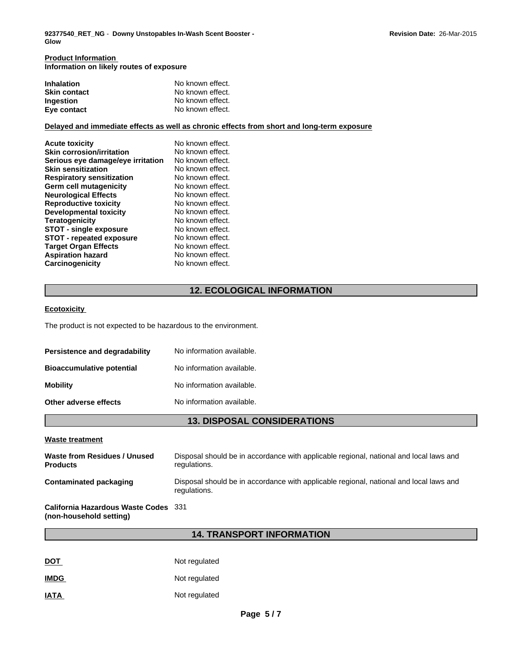#### **Product Information Information on likely routes of exposure**

| <b>Inhalation</b>   | No known effect. |
|---------------------|------------------|
| <b>Skin contact</b> | No known effect. |
| <b>Ingestion</b>    | No known effect. |
| Eye contact         | No known effect. |

## **Delayed and immediate effects as well as chronic effects from short and long-term exposure**

| No known effect. |
|------------------|
| No known effect. |
| No known effect. |
| No known effect. |
| No known effect. |
| No known effect. |
| No known effect. |
| No known effect. |
| No known effect. |
| No known effect. |
| No known effect. |
| No known effect. |
| No known effect. |
| No known effect. |
| No known effect. |
|                  |

## **12. ECOLOGICAL INFORMATION**

## **Ecotoxicity**

The product is not expected to be hazardous to the environment.

| <b>Persistence and degradability</b> | No information available. |
|--------------------------------------|---------------------------|
| <b>Bioaccumulative potential</b>     | No information available. |
| Mobility                             | No information available. |
| Other adverse effects                | No information available. |

## **13. DISPOSAL CONSIDERATIONS**

#### **Waste treatment**

| Waste from Residues / Unused<br><b>Products</b>                 | Disposal should be in accordance with applicable regional, national and local laws and<br>regulations. |
|-----------------------------------------------------------------|--------------------------------------------------------------------------------------------------------|
| Contaminated packaging                                          | Disposal should be in accordance with applicable regional, national and local laws and<br>regulations. |
| California Hazardous Waste Codes 331<br>(non-household setting) |                                                                                                        |

## **14. TRANSPORT INFORMATION**

| <b>DOT</b>  | Not regulated |
|-------------|---------------|
| <b>IMDG</b> | Not regulated |
| <b>IATA</b> | Not regulated |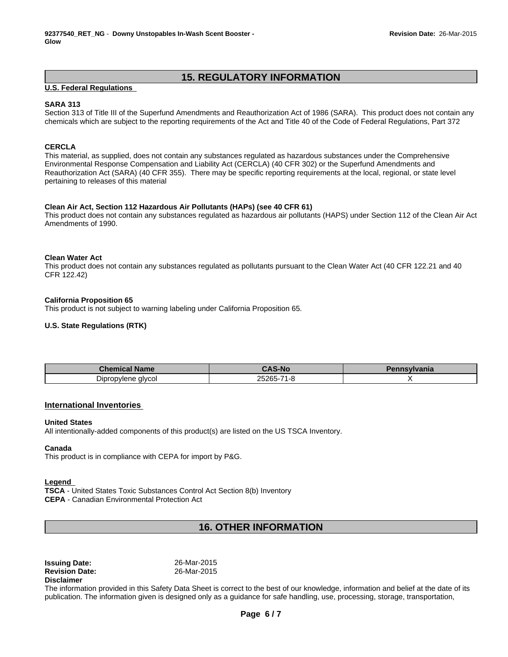## **15. REGULATORY INFORMATION**

## **U.S. Federal Regulations**

## **SARA 313**

Section 313 of Title III of the Superfund Amendments and Reauthorization Act of 1986 (SARA). This product does not contain any chemicals which are subject to the reporting requirements of the Act and Title 40 of the Code of Federal Regulations, Part 372

## **CERCLA**

This material, as supplied, does not contain any substances regulated as hazardous substances under the Comprehensive Environmental Response Compensation and Liability Act (CERCLA) (40 CFR 302) or the Superfund Amendments and Reauthorization Act (SARA) (40 CFR 355). There may be specific reporting requirements at the local, regional, or state level pertaining to releases of this material

#### **Clean Air Act, Section 112 Hazardous Air Pollutants (HAPs) (see 40 CFR 61)**

This product does not contain any substances regulated as hazardous air pollutants (HAPS) under Section 112 of the Clean Air Act Amendments of 1990.

## **Clean Water Act**

This product does not contain any substances regulated as pollutants pursuant to the Clean Water Act (40 CFR 122.21 and 40 CFR 122.42)

#### **California Proposition 65**

This product is not subject to warning labeling under California Proposition 65.

## **U.S. State Regulations (RTK)**

| <b>Chemical</b><br><b>Name</b> | <b>CAS-No</b>                     | vivania |
|--------------------------------|-----------------------------------|---------|
| - -<br>alvcol<br>Dipropylene   | OEOOE<br>11-265-⊽∠<br>א - ו<br>ч. |         |

## **International Inventories**

#### **United States**

All intentionally-added components of this product(s) are listed on the US TSCA Inventory.

#### **Canada**

This product is in compliance with CEPA for import by P&G.

#### **Legend**

**TSCA** - United States Toxic Substances Control Act Section 8(b) Inventory **CEPA** - Canadian Environmental Protection Act

## **16. OTHER INFORMATION**

| <b>Issuing Date:</b>  | 26-Mar-2015 |  |
|-----------------------|-------------|--|
| <b>Revision Date:</b> | 26-Mar-2015 |  |
| <b>Disclaimer</b>     |             |  |

The information provided in this Safety Data Sheet is correct to the best of our knowledge, information and belief at the date of its publication. The information given is designed only as a guidance for safe handling, use, processing, storage, transportation,